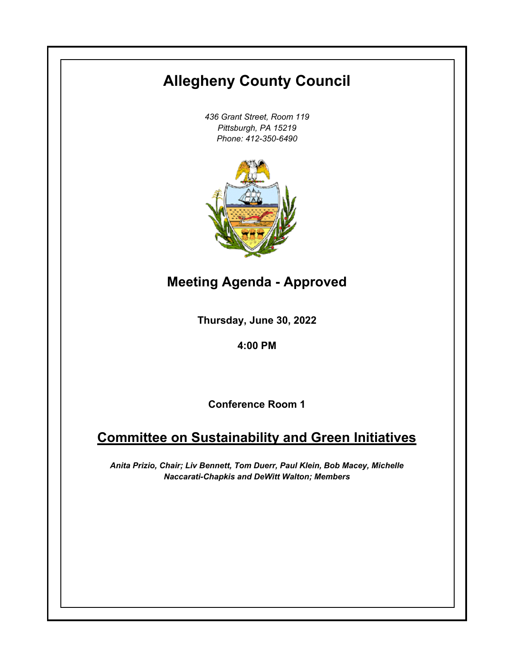# **Allegheny County Council**

*436 Grant Street, Room 119 Pittsburgh, PA 15219 Phone: 412-350-6490*



**Meeting Agenda - Approved**

**Thursday, June 30, 2022**

**4:00 PM**

**Conference Room 1**

# **Committee on Sustainability and Green Initiatives**

*Anita Prizio, Chair; Liv Bennett, Tom Duerr, Paul Klein, Bob Macey, Michelle Naccarati-Chapkis and DeWitt Walton; Members*